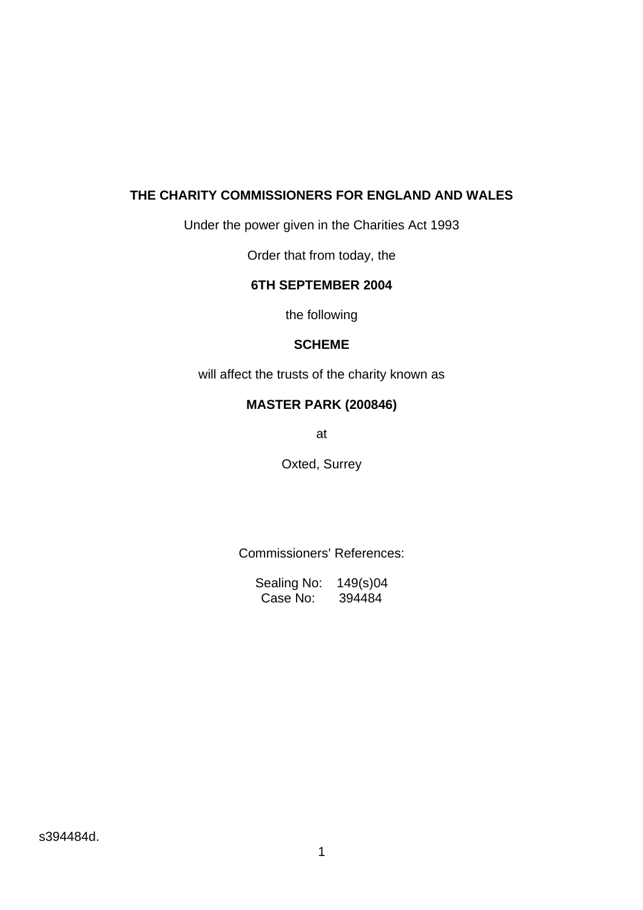#### **THE CHARITY COMMISSIONERS FOR ENGLAND AND WALES**

Under the power given in the Charities Act 1993

Order that from today, the

## **6TH SEPTEMBER 2004**

the following

### **SCHEME**

will affect the trusts of the charity known as

# **MASTER PARK (200846)**

at

Oxted, Surrey

Commissioners' References:

Sealing No: 149(s)04 Case No: 394484

s394484d.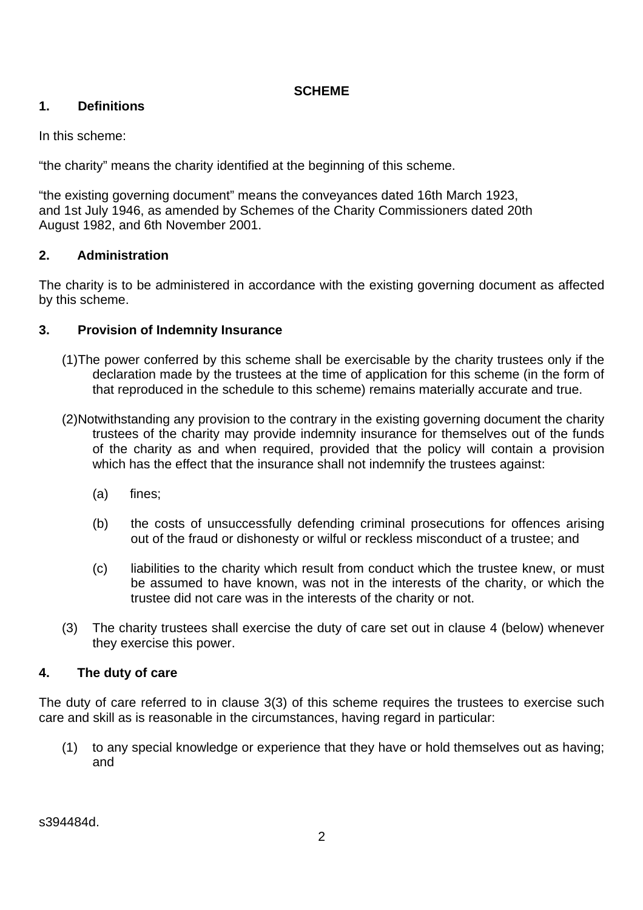### **SCHEME**

# **1. Definitions**

In this scheme:

"the charity" means the charity identified at the beginning of this scheme.

"the existing governing document" means the conveyances dated 16th March 1923, and 1st July 1946, as amended by Schemes of the Charity Commissioners dated 20th August 1982, and 6th November 2001.

# **2. Administration**

The charity is to be administered in accordance with the existing governing document as affected by this scheme.

# **3. Provision of Indemnity Insurance**

- (1)The power conferred by this scheme shall be exercisable by the charity trustees only if the declaration made by the trustees at the time of application for this scheme (in the form of that reproduced in the schedule to this scheme) remains materially accurate and true.
- (2)Notwithstanding any provision to the contrary in the existing governing document the charity trustees of the charity may provide indemnity insurance for themselves out of the funds of the charity as and when required, provided that the policy will contain a provision which has the effect that the insurance shall not indemnify the trustees against:
	- (a) fines;
	- (b) the costs of unsuccessfully defending criminal prosecutions for offences arising out of the fraud or dishonesty or wilful or reckless misconduct of a trustee; and
	- (c) liabilities to the charity which result from conduct which the trustee knew, or must be assumed to have known, was not in the interests of the charity, or which the trustee did not care was in the interests of the charity or not.
- (3) The charity trustees shall exercise the duty of care set out in clause 4 (below) whenever they exercise this power.

# **4. The duty of care**

The duty of care referred to in clause 3(3) of this scheme requires the trustees to exercise such care and skill as is reasonable in the circumstances, having regard in particular:

(1) to any special knowledge or experience that they have or hold themselves out as having; and

s394484d.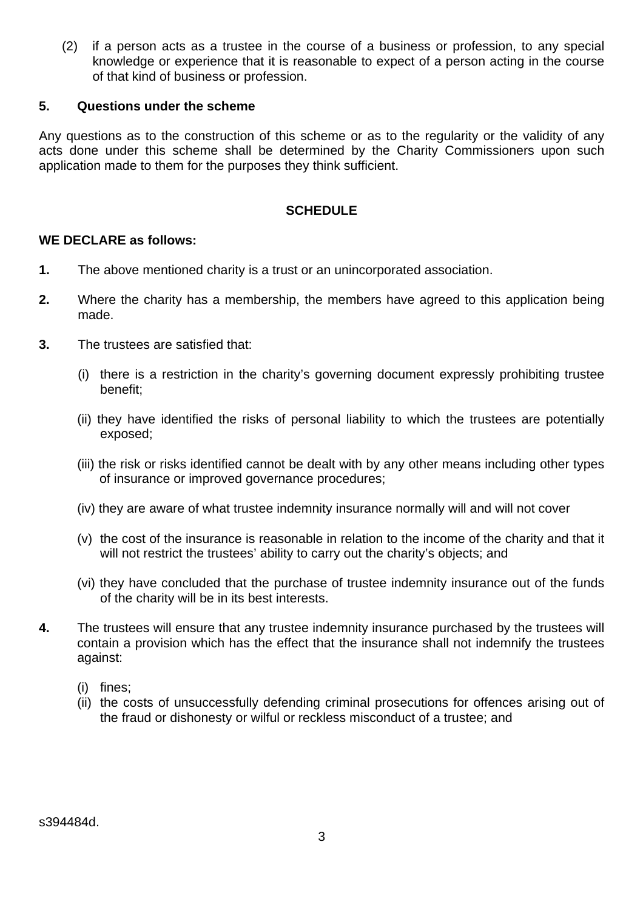(2) if a person acts as a trustee in the course of a business or profession, to any special knowledge or experience that it is reasonable to expect of a person acting in the course of that kind of business or profession.

#### **5. Questions under the scheme**

Any questions as to the construction of this scheme or as to the regularity or the validity of any acts done under this scheme shall be determined by the Charity Commissioners upon such application made to them for the purposes they think sufficient.

### **SCHEDULE**

#### **WE DECLARE as follows:**

- **1.** The above mentioned charity is a trust or an unincorporated association.
- **2.** Where the charity has a membership, the members have agreed to this application being made.
- **3.** The trustees are satisfied that:
	- (i) there is a restriction in the charity's governing document expressly prohibiting trustee benefit;
	- (ii) they have identified the risks of personal liability to which the trustees are potentially exposed;
	- (iii) the risk or risks identified cannot be dealt with by any other means including other types of insurance or improved governance procedures;
	- (iv) they are aware of what trustee indemnity insurance normally will and will not cover
	- (v) the cost of the insurance is reasonable in relation to the income of the charity and that it will not restrict the trustees' ability to carry out the charity's objects; and
	- (vi) they have concluded that the purchase of trustee indemnity insurance out of the funds of the charity will be in its best interests.
- **4.** The trustees will ensure that any trustee indemnity insurance purchased by the trustees will contain a provision which has the effect that the insurance shall not indemnify the trustees against:
	- (i) fines;
	- (ii) the costs of unsuccessfully defending criminal prosecutions for offences arising out of the fraud or dishonesty or wilful or reckless misconduct of a trustee; and